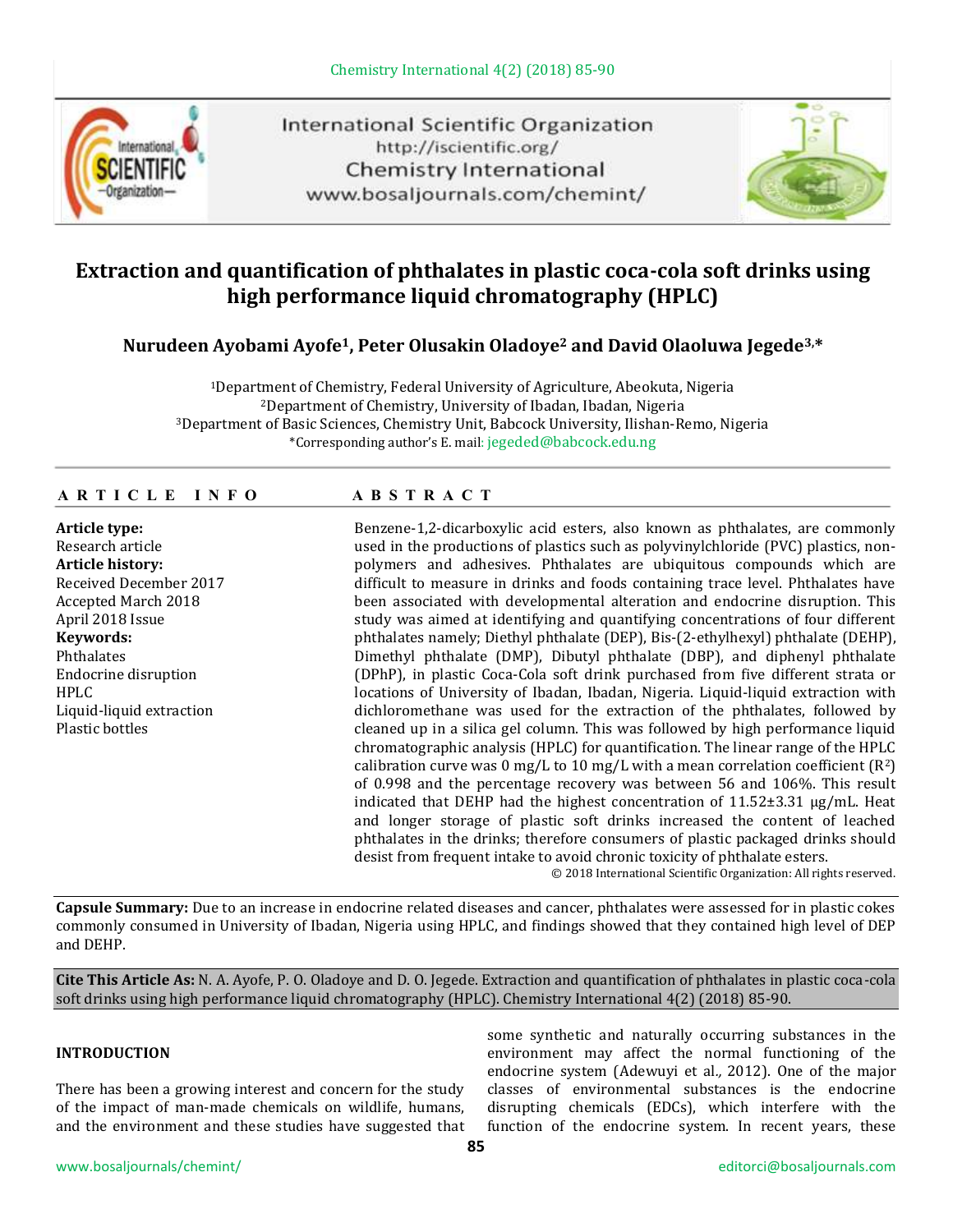

International Scientific Organization http://iscientific.org/ Chemistry International www.bosaljournals.com/chemint/



# **Extraction and quantification of phthalates in plastic coca-cola soft drinks using high performance liquid chromatography (HPLC)**

# **Nurudeen Ayobami Ayofe1, Peter Olusakin Oladoye<sup>2</sup> and David Olaoluwa Jegede3,\***

Department of Chemistry, Federal University of Agriculture, Abeokuta, Nigeria Department of Chemistry, University of Ibadan, Ibadan, Nigeria Department of Basic Sciences, Chemistry Unit, Babcock University, Ilishan-Remo, Nigeria \*Corresponding author's E. mail: jegeded@babcock.edu.ng

### **A R T I C L E I N F O A B S T R A C T**

#### **Article type:**

Research article **Article history:** Received December 2017 Accepted March 2018 April 2018 Issue **Keywords:** Phthalates Endocrine disruption HPLC Liquid-liquid extraction Plastic bottles

Benzene-1,2-dicarboxylic acid esters, also known as phthalates, are commonly used in the productions of plastics such as polyvinylchloride (PVC) plastics, nonpolymers and adhesives. Phthalates are ubiquitous compounds which are difficult to measure in drinks and foods containing trace level. Phthalates have been associated with developmental alteration and endocrine disruption. This study was aimed at identifying and quantifying concentrations of four different phthalates namely; Diethyl phthalate (DEP), Bis-(2-ethylhexyl) phthalate (DEHP), Dimethyl phthalate (DMP), Dibutyl phthalate (DBP), and diphenyl phthalate (DPhP), in plastic Coca-Cola soft drink purchased from five different strata or locations of University of Ibadan, Ibadan, Nigeria. Liquid-liquid extraction with dichloromethane was used for the extraction of the phthalates, followed by cleaned up in a silica gel column. This was followed by high performance liquid chromatographic analysis (HPLC) for quantification. The linear range of the HPLC calibration curve was 0 mg/L to 10 mg/L with a mean correlation coefficient  $(R^2)$ of 0.998 and the percentage recovery was between 56 and 106%. This result indicated that DEHP had the highest concentration of  $11.52\pm3.31 \mu g/mL$ . Heat and longer storage of plastic soft drinks increased the content of leached phthalates in the drinks; therefore consumers of plastic packaged drinks should desist from frequent intake to avoid chronic toxicity of phthalate esters.

© 2018 International Scientific Organization: All rights reserved.

**Capsule Summary:** Due to an increase in endocrine related diseases and cancer, phthalates were assessed for in plastic cokes commonly consumed in University of Ibadan, Nigeria using HPLC, and findings showed that they contained high level of DEP and DEHP.

**Cite This Article As:** N. A. Ayofe, P. O. Oladoye and D. O. Jegede. Extraction and quantification of phthalates in plastic coca-cola soft drinks using high performance liquid chromatography (HPLC). Chemistry International 4(2) (2018) 85-90.

## **INTRODUCTION**

There has been a growing interest and concern for the study of the impact of man-made chemicals on wildlife, humans, and the environment and these studies have suggested that some synthetic and naturally occurring substances in the environment may affect the normal functioning of the endocrine system (Adewuyi et al*.,* 2012). One of the major classes of environmental substances is the endocrine disrupting chemicals (EDCs), which interfere with the function of the endocrine system. In recent years, these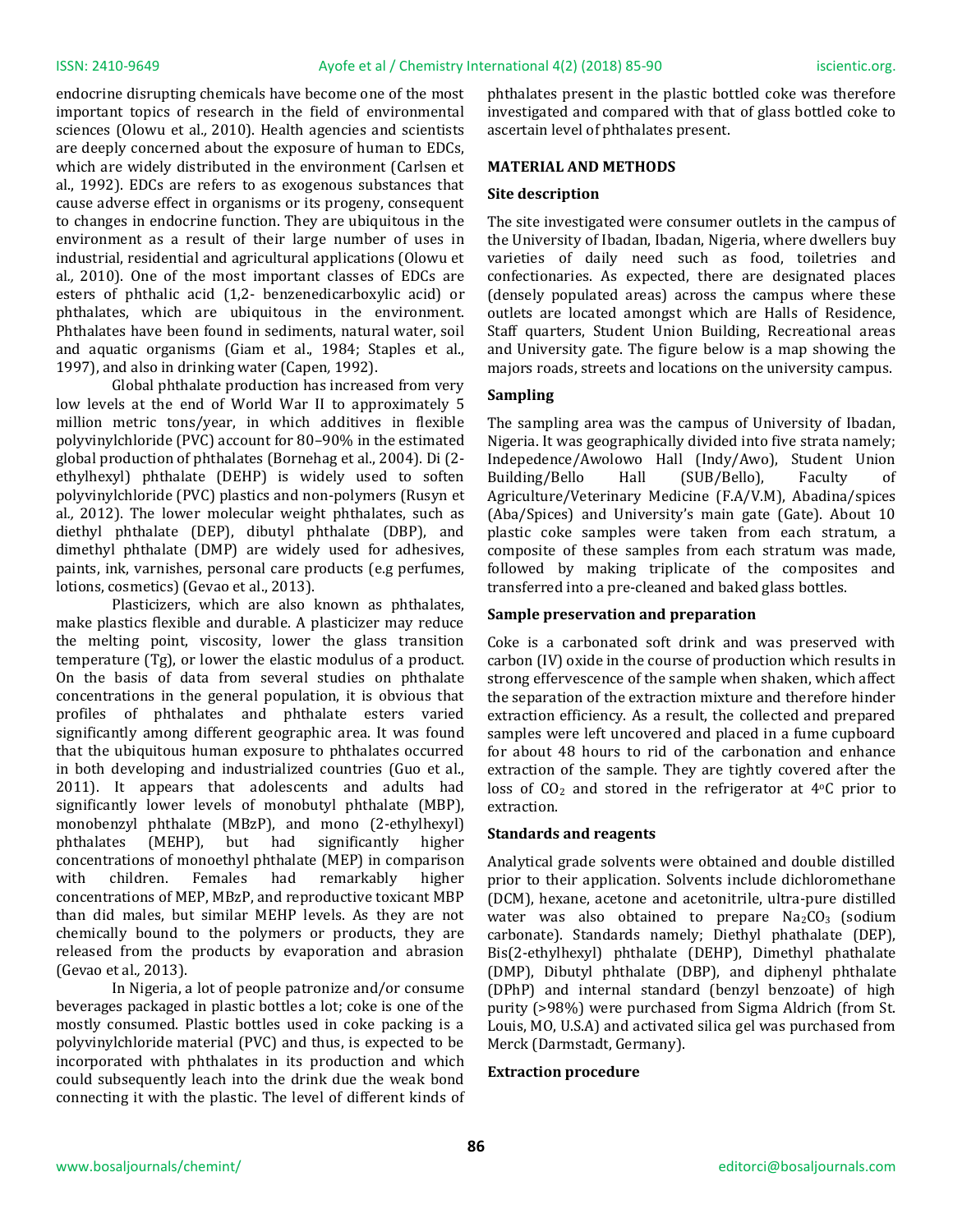endocrine disrupting chemicals have become one of the most important topics of research in the field of environmental sciences (Olowu et al*.,* 2010). Health agencies and scientists are deeply concerned about the exposure of human to EDCs, which are widely distributed in the environment (Carlsen et al., 1992). EDCs are refers to as exogenous substances that cause adverse effect in organisms or its progeny, consequent to changes in endocrine function. They are ubiquitous in the environment as a result of their large number of uses in industrial, residential and agricultural applications (Olowu et al*.,* 2010). One of the most important classes of EDCs are esters of phthalic acid (1,2- benzenedicarboxylic acid) or phthalates, which are ubiquitous in the environment. Phthalates have been found in sediments, natural water, soil and aquatic organisms (Giam et al., 1984; Staples et al., 1997), and also in drinking water (Capen*,* 1992).

Global phthalate production has increased from very low levels at the end of World War II to approximately 5 million metric tons/year, in which additives in flexible polyvinylchloride (PVC) account for 80–90% in the estimated global production of phthalates (Bornehag et al., 2004). Di (2 ethylhexyl) phthalate (DEHP) is widely used to soften polyvinylchloride (PVC) plastics and non-polymers (Rusyn et al*.,* 2012). The lower molecular weight phthalates, such as diethyl phthalate (DEP), dibutyl phthalate (DBP), and dimethyl phthalate (DMP) are widely used for adhesives, paints, ink, varnishes, personal care products (e.g perfumes, lotions, cosmetics) (Gevao et al., 2013).

Plasticizers, which are also known as phthalates, make plastics flexible and durable. A plasticizer may reduce the melting point, viscosity, lower the glass transition temperature (Tg), or lower the elastic modulus of a product. On the basis of data from several studies on phthalate concentrations in the general population, it is obvious that profiles of phthalates and phthalate esters varied significantly among different geographic area. It was found that the ubiquitous human exposure to phthalates occurred in both developing and industrialized countries (Guo et al., 2011). It appears that adolescents and adults had significantly lower levels of monobutyl phthalate (MBP), monobenzyl phthalate (MBzP), and mono (2-ethylhexyl) phthalates (MEHP), but had significantly higher concentrations of monoethyl phthalate (MEP) in comparison with children. Females had remarkably higher concentrations of MEP, MBzP, and reproductive toxicant MBP than did males, but similar MEHP levels. As they are not chemically bound to the polymers or products, they are released from the products by evaporation and abrasion (Gevao et al.*,* 2013).

In Nigeria, a lot of people patronize and/or consume beverages packaged in plastic bottles a lot; coke is one of the mostly consumed. Plastic bottles used in coke packing is a polyvinylchloride material (PVC) and thus, is expected to be incorporated with phthalates in its production and which could subsequently leach into the drink due the weak bond connecting it with the plastic. The level of different kinds of phthalates present in the plastic bottled coke was therefore investigated and compared with that of glass bottled coke to ascertain level of phthalates present.

#### **MATERIAL AND METHODS**

#### **Site description**

The site investigated were consumer outlets in the campus of the University of Ibadan, Ibadan, Nigeria, where dwellers buy varieties of daily need such as food, toiletries and confectionaries. As expected, there are designated places (densely populated areas) across the campus where these outlets are located amongst which are Halls of Residence, Staff quarters, Student Union Building, Recreational areas and University gate. The figure below is a map showing the majors roads, streets and locations on the university campus.

#### **Sampling**

The sampling area was the campus of University of Ibadan, Nigeria. It was geographically divided into five strata namely; Indepedence/Awolowo Hall (Indy/Awo), Student Union Building/Bello Hall (SUB/Bello), Faculty of Agriculture/Veterinary Medicine (F.A/V.M), Abadina/spices (Aba/Spices) and University's main gate (Gate). About 10 plastic coke samples were taken from each stratum, a composite of these samples from each stratum was made, followed by making triplicate of the composites and transferred into a pre-cleaned and baked glass bottles.

#### **Sample preservation and preparation**

Coke is a carbonated soft drink and was preserved with carbon (IV) oxide in the course of production which results in strong effervescence of the sample when shaken, which affect the separation of the extraction mixture and therefore hinder extraction efficiency. As a result, the collected and prepared samples were left uncovered and placed in a fume cupboard for about 48 hours to rid of the carbonation and enhance extraction of the sample. They are tightly covered after the loss of  $CO<sub>2</sub>$  and stored in the refrigerator at 4 $\degree$ C prior to extraction.

#### **Standards and reagents**

Analytical grade solvents were obtained and double distilled prior to their application. Solvents include dichloromethane (DCM), hexane, acetone and acetonitrile, ultra-pure distilled water was also obtained to prepare  $Na<sub>2</sub>CO<sub>3</sub>$  (sodium carbonate). Standards namely; Diethyl phathalate (DEP), Bis(2-ethylhexyl) phthalate (DEHP), Dimethyl phathalate (DMP), Dibutyl phthalate (DBP), and diphenyl phthalate (DPhP) and internal standard (benzyl benzoate) of high purity (>98%) were purchased from Sigma Aldrich (from St. Louis, MO, U.S.A) and activated silica gel was purchased from Merck (Darmstadt, Germany).

#### **Extraction procedure**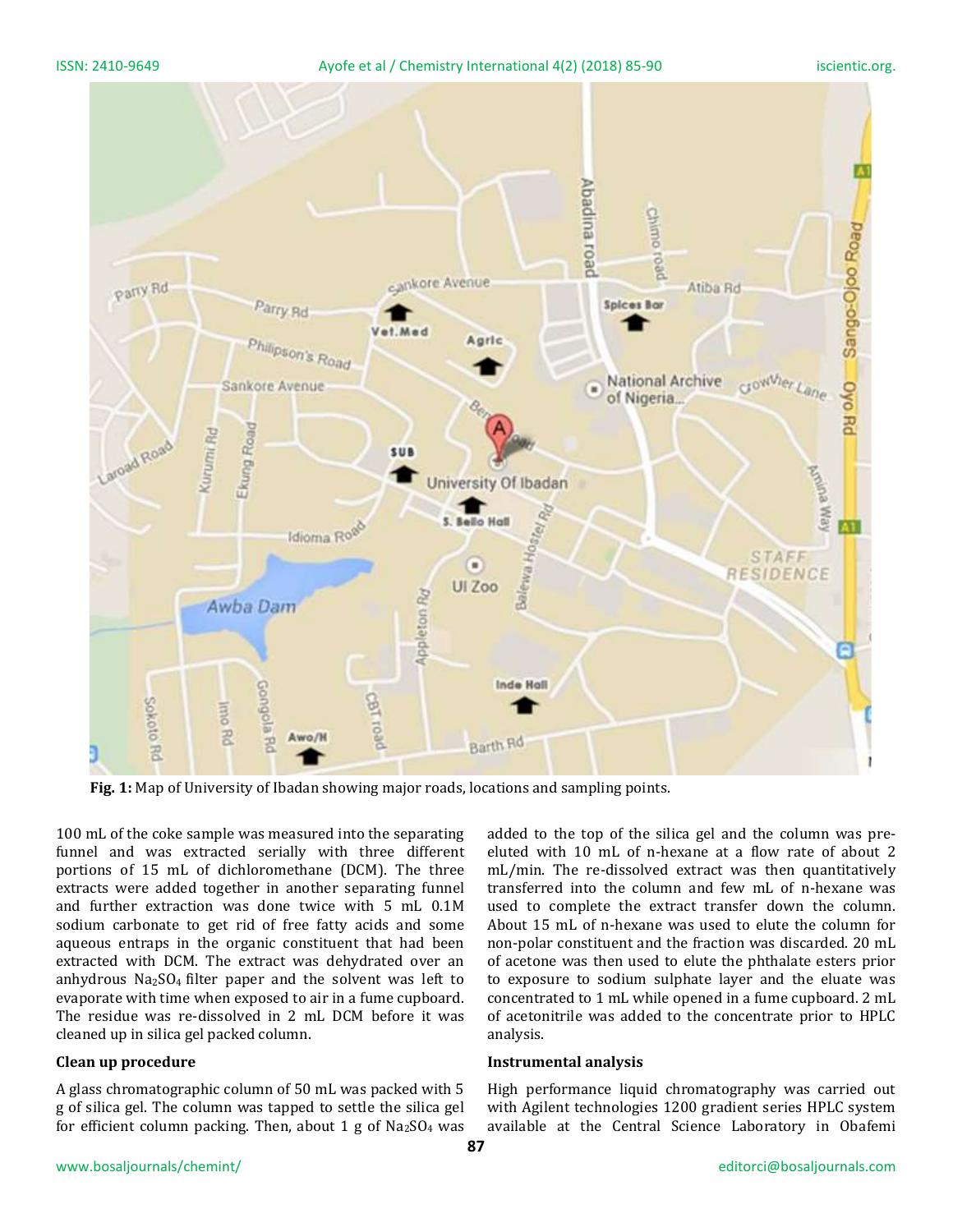ISSN: 2410-9649 Ayofe et al / Chemistry International 4(2) (2018) 85-90 iscientic.org.



**Fig. 1:** Map of University of Ibadan showing major roads, locations and sampling points.

100 mL of the coke sample was measured into the separating funnel and was extracted serially with three different portions of 15 mL of dichloromethane (DCM). The three extracts were added together in another separating funnel and further extraction was done twice with 5 mL 0.1M sodium carbonate to get rid of free fatty acids and some aqueous entraps in the organic constituent that had been extracted with DCM. The extract was dehydrated over an anhydrous  $Na<sub>2</sub>SO<sub>4</sub>$  filter paper and the solvent was left to evaporate with time when exposed to air in a fume cupboard. The residue was re-dissolved in 2 mL DCM before it was cleaned up in silica gel packed column.

#### **Clean up procedure**

A glass chromatographic column of 50 mL was packed with 5 g of silica gel. The column was tapped to settle the silica gel for efficient column packing. Then, about 1 g of  $Na<sub>2</sub>SO<sub>4</sub>$  was added to the top of the silica gel and the column was preeluted with 10 mL of n-hexane at a flow rate of about 2 mL/min. The re-dissolved extract was then quantitatively transferred into the column and few mL of n-hexane was used to complete the extract transfer down the column. About 15 mL of n-hexane was used to elute the column for non-polar constituent and the fraction was discarded. 20 mL of acetone was then used to elute the phthalate esters prior to exposure to sodium sulphate layer and the eluate was concentrated to 1 mL while opened in a fume cupboard. 2 mL of acetonitrile was added to the concentrate prior to HPLC analysis.

#### **Instrumental analysis**

High performance liquid chromatography was carried out with Agilent technologies 1200 gradient series HPLC system available at the Central Science Laboratory in Obafemi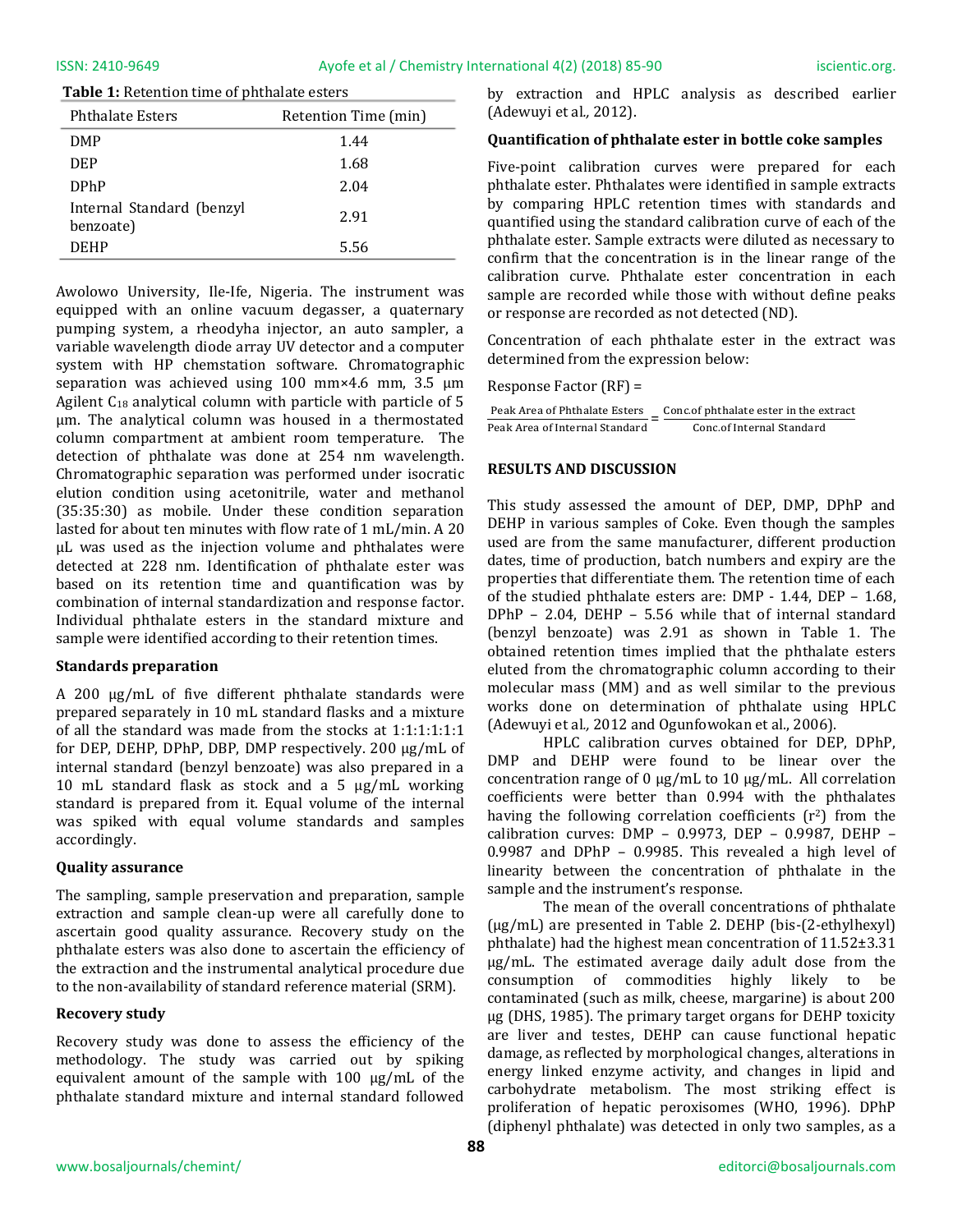#### **Table 1:** Retention time of phthalate esters

| <b>Phthalate Esters</b>                | Retention Time (min) |
|----------------------------------------|----------------------|
| <b>DMP</b>                             | 1.44                 |
| DEP                                    | 1.68                 |
| <b>DPhP</b>                            | 2.04                 |
| Internal Standard (benzyl<br>benzoate) | 2.91                 |
| DEHP                                   | 5.56                 |

Awolowo University, Ile-Ife, Nigeria. The instrument was equipped with an online vacuum degasser, a quaternary pumping system, a rheodyha injector, an auto sampler, a variable wavelength diode array UV detector and a computer system with HP chemstation software. Chromatographic separation was achieved using 100 mm×4.6 mm, 3.5 μm Agilent  $C_{18}$  analytical column with particle with particle of 5 μm. The analytical column was housed in a thermostated column compartment at ambient room temperature. The detection of phthalate was done at 254 nm wavelength. Chromatographic separation was performed under isocratic elution condition using acetonitrile, water and methanol (35:35:30) as mobile. Under these condition separation lasted for about ten minutes with flow rate of 1 mL/min. A 20 μL was used as the injection volume and phthalates were detected at 228 nm. Identification of phthalate ester was based on its retention time and quantification was by combination of internal standardization and response factor. Individual phthalate esters in the standard mixture and sample were identified according to their retention times.

#### **Standards preparation**

A 200 μg/mL of five different phthalate standards were prepared separately in 10 mL standard flasks and a mixture of all the standard was made from the stocks at 1:1:1:1:1:1 for DEP, DEHP, DPhP, DBP, DMP respectively. 200 μg/mL of internal standard (benzyl benzoate) was also prepared in a 10 mL standard flask as stock and a 5 μg/mL working standard is prepared from it. Equal volume of the internal was spiked with equal volume standards and samples accordingly.

### **Quality assurance**

The sampling, sample preservation and preparation, sample extraction and sample clean-up were all carefully done to ascertain good quality assurance. Recovery study on the phthalate esters was also done to ascertain the efficiency of the extraction and the instrumental analytical procedure due to the non-availability of standard reference material (SRM).

### **Recovery study**

Recovery study was done to assess the efficiency of the methodology. The study was carried out by spiking equivalent amount of the sample with 100 μg/mL of the phthalate standard mixture and internal standard followed by extraction and HPLC analysis as described earlier (Adewuyi et al*.,* 2012).

#### **Quantification of phthalate ester in bottle coke samples**

Five-point calibration curves were prepared for each phthalate ester. Phthalates were identified in sample extracts by comparing HPLC retention times with standards and quantified using the standard calibration curve of each of the phthalate ester. Sample extracts were diluted as necessary to confirm that the concentration is in the linear range of the calibration curve. Phthalate ester concentration in each sample are recorded while those with without define peaks or response are recorded as not detected (ND).

Concentration of each phthalate ester in the extract was determined from the expression below:

Response Factor (RF) =

| Peak Area of Phthalate Esters  | Conc.of phthalate ester in the extract |
|--------------------------------|----------------------------------------|
| Peak Area of Internal Standard | Conc.of Internal Standard              |

#### **RESULTS AND DISCUSSION**

This study assessed the amount of DEP, DMP, DPhP and DEHP in various samples of Coke. Even though the samples used are from the same manufacturer, different production dates, time of production, batch numbers and expiry are the properties that differentiate them. The retention time of each of the studied phthalate esters are: DMP - 1.44, DEP – 1.68, DPhP – 2.04, DEHP – 5.56 while that of internal standard (benzyl benzoate) was 2.91 as shown in Table 1. The obtained retention times implied that the phthalate esters eluted from the chromatographic column according to their molecular mass (MM) and as well similar to the previous works done on determination of phthalate using HPLC (Adewuyi et al*.,* 2012 and Ogunfowokan et al., 2006).

HPLC calibration curves obtained for DEP, DPhP, DMP and DEHP were found to be linear over the concentration range of 0 μg/mL to 10 μg/mL. All correlation coefficients were better than 0.994 with the phthalates having the following correlation coefficients  $(r^2)$  from the calibration curves: DMP – 0.9973, DEP – 0.9987, DEHP – 0.9987 and DPhP – 0.9985. This revealed a high level of linearity between the concentration of phthalate in the sample and the instrument's response.

The mean of the overall concentrations of phthalate (µg/mL) are presented in Table 2. DEHP (bis-(2-ethylhexyl) phthalate) had the highest mean concentration of 11.52±3.31 μg/mL. The estimated average daily adult dose from the consumption of commodities highly likely to be contaminated (such as milk, cheese, margarine) is about 200 μg (DHS, 1985). The primary target organs for DEHP toxicity are liver and testes, DEHP can cause functional hepatic damage, as reflected by morphological changes, alterations in energy linked enzyme activity, and changes in lipid and carbohydrate metabolism. The most striking effect is proliferation of hepatic peroxisomes (WHO, 1996). DPhP (diphenyl phthalate) was detected in only two samples, as a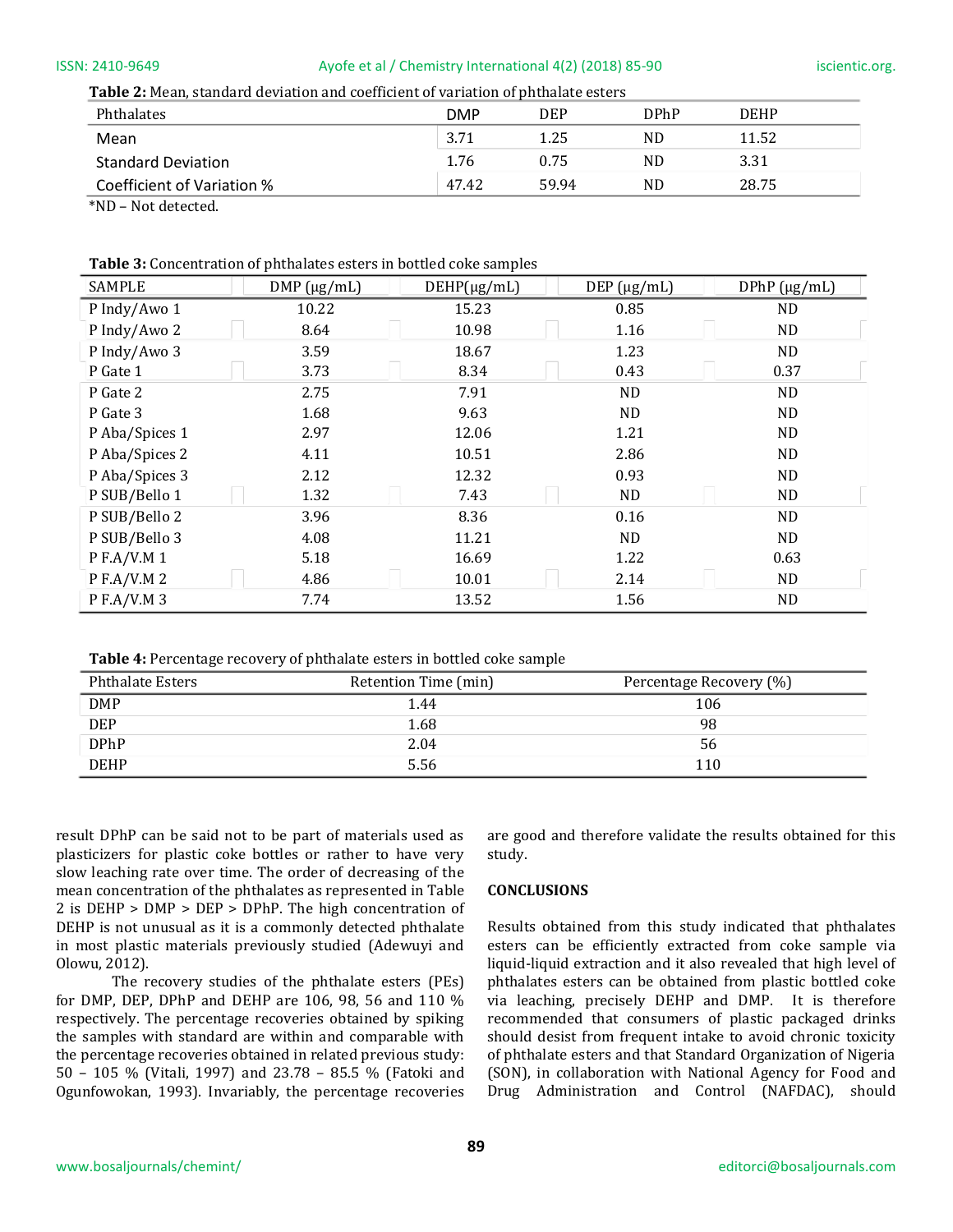#### ISSN: 2410-9649 Ayofe et al / Chemistry International 4(2) (2018) 85-90 iscientic.org.

**Table 2:** Mean, standard deviation and coefficient of variation of phthalate esters

| Phthalates                 | <b>DMP</b> | <b>DEP</b> | <b>DPhP</b> | <b>DEHP</b> |
|----------------------------|------------|------------|-------------|-------------|
| Mean                       | 3.71       | 1.25       | ND.         | 11.52       |
| <b>Standard Deviation</b>  | 1.76       | 0.75       | ND.         | 3.31        |
| Coefficient of Variation % | 47.42      | 59.94      | ND          | 28.75       |
| $\frac{1}{2}$              |            |            |             |             |

\*ND – Not detected.

#### **Table 3:** Concentration of phthalates esters in bottled coke samples

| SAMPLE         | DMP (µg/mL) | $DEHP(\mu g/mL)$ | DEF (µg/mL)    | $DPhP (\mu g/mL)$ |
|----------------|-------------|------------------|----------------|-------------------|
| P Indy/Awo 1   | 10.22       | 15.23            | 0.85           | ND.               |
| P Indy/Awo 2   | 8.64        | 10.98            | 1.16           | ND.               |
| P Indy/Awo 3   | 3.59        | 18.67            | 1.23           | ND.               |
| P Gate 1       | 3.73        | 8.34             | 0.43           | 0.37              |
| P Gate 2       | 2.75        | 7.91             | N <sub>D</sub> | N <sub>D</sub>    |
| P Gate 3       | 1.68        | 9.63             | N <sub>D</sub> | ND.               |
| P Aba/Spices 1 | 2.97        | 12.06            | 1.21           | ND                |
| P Aba/Spices 2 | 4.11        | 10.51            | 2.86           | <b>ND</b>         |
| P Aba/Spices 3 | 2.12        | 12.32            | 0.93           | ND.               |
| P SUB/Bello 1  | 1.32        | 7.43             | ND.            | ND.               |
| P SUB/Bello 2  | 3.96        | 8.36             | 0.16           | ND.               |
| P SUB/Bello 3  | 4.08        | 11.21            | ND.            | <b>ND</b>         |
| P F.A/V.M 1    | 5.18        | 16.69            | 1.22           | 0.63              |
| P F.A/V.M 2    | 4.86        | 10.01            | 2.14           | <b>ND</b>         |
| P F.A/V.M 3    | 7.74        | 13.52            | 1.56           | ND.               |

**Table 4:** Percentage recovery of phthalate esters in bottled coke sample

| <b>Phthalate Esters</b> | Retention Time (min) | Percentage Recovery (%) |
|-------------------------|----------------------|-------------------------|
| DMP                     | 1.44                 | 106                     |
| <b>DEP</b>              | 1.68                 | 98                      |
| <b>DPhP</b>             | 2.04                 | 56                      |
| <b>DEHP</b>             | 5.56                 | 110                     |

result DPhP can be said not to be part of materials used as plasticizers for plastic coke bottles or rather to have very slow leaching rate over time. The order of decreasing of the mean concentration of the phthalates as represented in Table 2 is DEHP > DMP > DEP > DPhP. The high concentration of DEHP is not unusual as it is a commonly detected phthalate in most plastic materials previously studied (Adewuyi and Olowu, 2012).

The recovery studies of the phthalate esters (PEs) for DMP, DEP, DPhP and DEHP are 106, 98, 56 and 110 % respectively. The percentage recoveries obtained by spiking the samples with standard are within and comparable with the percentage recoveries obtained in related previous study: 50 – 105 % (Vitali, 1997) and 23.78 – 85.5 % (Fatoki and Ogunfowokan, 1993). Invariably, the percentage recoveries are good and therefore validate the results obtained for this study.

#### **CONCLUSIONS**

Results obtained from this study indicated that phthalates esters can be efficiently extracted from coke sample via liquid-liquid extraction and it also revealed that high level of phthalates esters can be obtained from plastic bottled coke via leaching, precisely DEHP and DMP. It is therefore recommended that consumers of plastic packaged drinks should desist from frequent intake to avoid chronic toxicity of phthalate esters and that Standard Organization of Nigeria (SON), in collaboration with National Agency for Food and Drug Administration and Control (NAFDAC), should